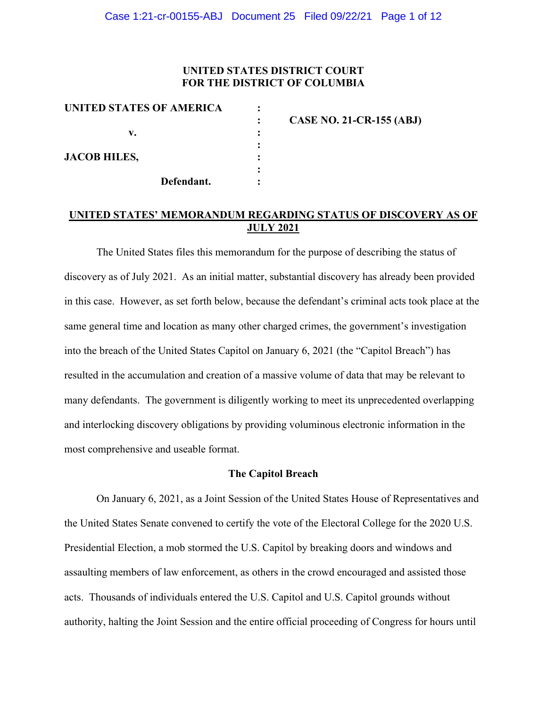## **UNITED STATES DISTRICT COURT FOR THE DISTRICT OF COLUMBIA**

| UNITED STATES OF AMERICA |                                 |
|--------------------------|---------------------------------|
|                          | <b>CASE NO. 21-CR-155 (ABJ)</b> |
| v.                       |                                 |
| <b>JACOB HILES,</b>      |                                 |
|                          |                                 |
| Defendant.               |                                 |

## **UNITED STATES' MEMORANDUM REGARDING STATUS OF DISCOVERY AS OF JULY 2021**

The United States files this memorandum for the purpose of describing the status of discovery as of July 2021. As an initial matter, substantial discovery has already been provided in this case. However, as set forth below, because the defendant's criminal acts took place at the same general time and location as many other charged crimes, the government's investigation into the breach of the United States Capitol on January 6, 2021 (the "Capitol Breach") has resulted in the accumulation and creation of a massive volume of data that may be relevant to many defendants. The government is diligently working to meet its unprecedented overlapping and interlocking discovery obligations by providing voluminous electronic information in the most comprehensive and useable format.

## **The Capitol Breach**

On January 6, 2021, as a Joint Session of the United States House of Representatives and the United States Senate convened to certify the vote of the Electoral College for the 2020 U.S. Presidential Election, a mob stormed the U.S. Capitol by breaking doors and windows and assaulting members of law enforcement, as others in the crowd encouraged and assisted those acts. Thousands of individuals entered the U.S. Capitol and U.S. Capitol grounds without authority, halting the Joint Session and the entire official proceeding of Congress for hours until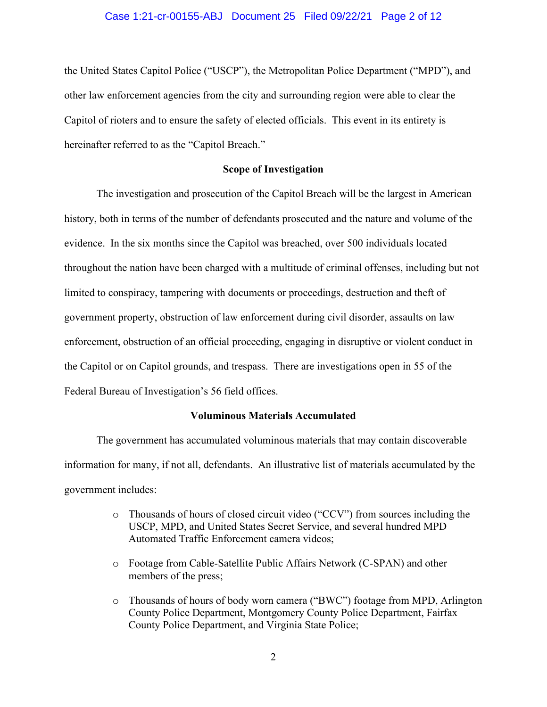## Case 1:21-cr-00155-ABJ Document 25 Filed 09/22/21 Page 2 of 12

the United States Capitol Police ("USCP"), the Metropolitan Police Department ("MPD"), and other law enforcement agencies from the city and surrounding region were able to clear the Capitol of rioters and to ensure the safety of elected officials. This event in its entirety is hereinafter referred to as the "Capitol Breach."

## **Scope of Investigation**

The investigation and prosecution of the Capitol Breach will be the largest in American history, both in terms of the number of defendants prosecuted and the nature and volume of the evidence. In the six months since the Capitol was breached, over 500 individuals located throughout the nation have been charged with a multitude of criminal offenses, including but not limited to conspiracy, tampering with documents or proceedings, destruction and theft of government property, obstruction of law enforcement during civil disorder, assaults on law enforcement, obstruction of an official proceeding, engaging in disruptive or violent conduct in the Capitol or on Capitol grounds, and trespass. There are investigations open in 55 of the Federal Bureau of Investigation's 56 field offices.

## **Voluminous Materials Accumulated**

The government has accumulated voluminous materials that may contain discoverable information for many, if not all, defendants. An illustrative list of materials accumulated by the government includes:

- o Thousands of hours of closed circuit video ("CCV") from sources including the USCP, MPD, and United States Secret Service, and several hundred MPD Automated Traffic Enforcement camera videos;
- o Footage from Cable-Satellite Public Affairs Network (C-SPAN) and other members of the press;
- o Thousands of hours of body worn camera ("BWC") footage from MPD, Arlington County Police Department, Montgomery County Police Department, Fairfax County Police Department, and Virginia State Police;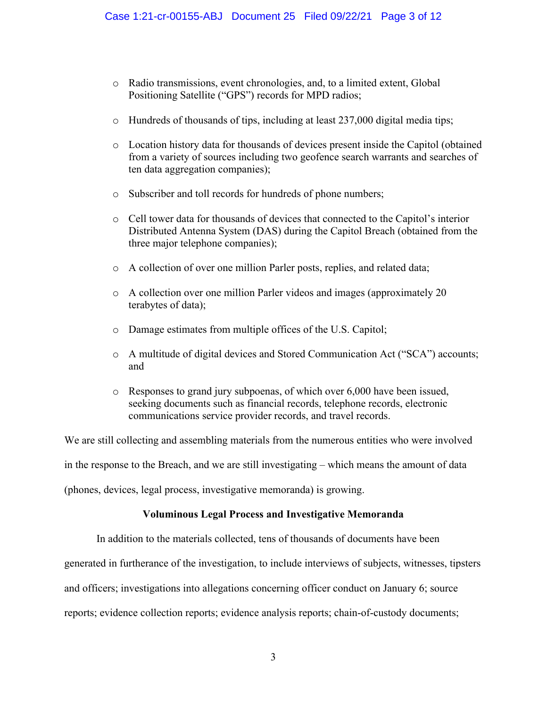- o Radio transmissions, event chronologies, and, to a limited extent, Global Positioning Satellite ("GPS") records for MPD radios;
- o Hundreds of thousands of tips, including at least 237,000 digital media tips;
- o Location history data for thousands of devices present inside the Capitol (obtained from a variety of sources including two geofence search warrants and searches of ten data aggregation companies);
- o Subscriber and toll records for hundreds of phone numbers;
- o Cell tower data for thousands of devices that connected to the Capitol's interior Distributed Antenna System (DAS) during the Capitol Breach (obtained from the three major telephone companies);
- o A collection of over one million Parler posts, replies, and related data;
- o A collection over one million Parler videos and images (approximately 20 terabytes of data);
- o Damage estimates from multiple offices of the U.S. Capitol;
- o A multitude of digital devices and Stored Communication Act ("SCA") accounts; and
- o Responses to grand jury subpoenas, of which over 6,000 have been issued, seeking documents such as financial records, telephone records, electronic communications service provider records, and travel records.

We are still collecting and assembling materials from the numerous entities who were involved in the response to the Breach, and we are still investigating – which means the amount of data (phones, devices, legal process, investigative memoranda) is growing.

## **Voluminous Legal Process and Investigative Memoranda**

In addition to the materials collected, tens of thousands of documents have been

generated in furtherance of the investigation, to include interviews of subjects, witnesses, tipsters

and officers; investigations into allegations concerning officer conduct on January 6; source

reports; evidence collection reports; evidence analysis reports; chain-of-custody documents;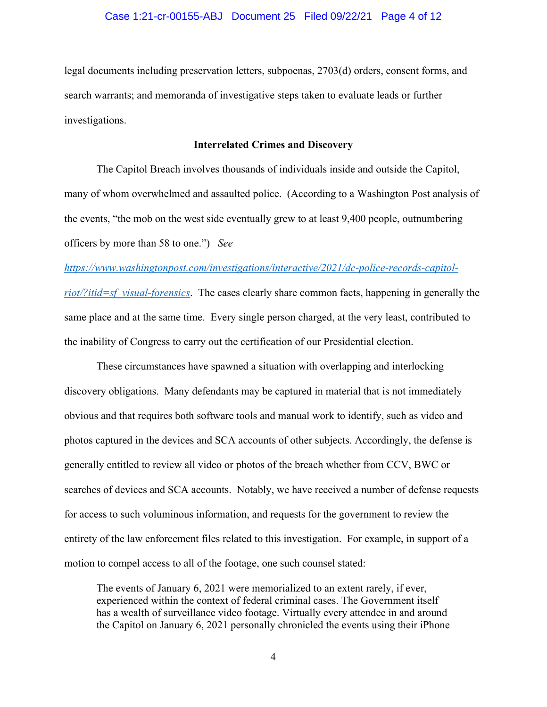legal documents including preservation letters, subpoenas, 2703(d) orders, consent forms, and search warrants; and memoranda of investigative steps taken to evaluate leads or further investigations.

## **Interrelated Crimes and Discovery**

The Capitol Breach involves thousands of individuals inside and outside the Capitol, many of whom overwhelmed and assaulted police. (According to a Washington Post analysis of the events, "the mob on the west side eventually grew to at least 9,400 people, outnumbering officers by more than 58 to one.") *See* 

## *https://www.washingtonpost.com/investigations/interactive/2021/dc-police-records-capitol-*

*riot/?itid=sf\_visual-forensics*. The cases clearly share common facts, happening in generally the same place and at the same time. Every single person charged, at the very least, contributed to the inability of Congress to carry out the certification of our Presidential election.

These circumstances have spawned a situation with overlapping and interlocking discovery obligations. Many defendants may be captured in material that is not immediately obvious and that requires both software tools and manual work to identify, such as video and photos captured in the devices and SCA accounts of other subjects. Accordingly, the defense is generally entitled to review all video or photos of the breach whether from CCV, BWC or searches of devices and SCA accounts. Notably, we have received a number of defense requests for access to such voluminous information, and requests for the government to review the entirety of the law enforcement files related to this investigation. For example, in support of a motion to compel access to all of the footage, one such counsel stated:

The events of January 6, 2021 were memorialized to an extent rarely, if ever, experienced within the context of federal criminal cases. The Government itself has a wealth of surveillance video footage. Virtually every attendee in and around the Capitol on January 6, 2021 personally chronicled the events using their iPhone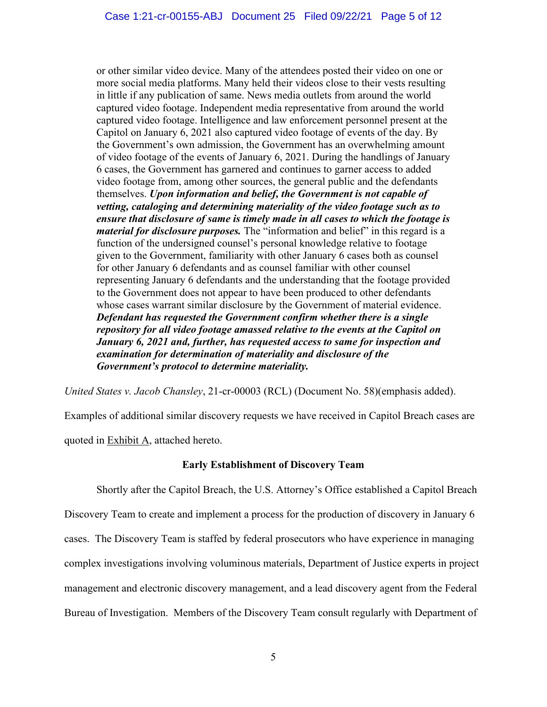or other similar video device. Many of the attendees posted their video on one or more social media platforms. Many held their videos close to their vests resulting in little if any publication of same. News media outlets from around the world captured video footage. Independent media representative from around the world captured video footage. Intelligence and law enforcement personnel present at the Capitol on January 6, 2021 also captured video footage of events of the day. By the Government's own admission, the Government has an overwhelming amount of video footage of the events of January 6, 2021. During the handlings of January 6 cases, the Government has garnered and continues to garner access to added video footage from, among other sources, the general public and the defendants themselves. *Upon information and belief, the Government is not capable of vetting, cataloging and determining materiality of the video footage such as to ensure that disclosure of same is timely made in all cases to which the footage is material for disclosure purposes.* The "information and belief" in this regard is a function of the undersigned counsel's personal knowledge relative to footage given to the Government, familiarity with other January 6 cases both as counsel for other January 6 defendants and as counsel familiar with other counsel representing January 6 defendants and the understanding that the footage provided to the Government does not appear to have been produced to other defendants whose cases warrant similar disclosure by the Government of material evidence. *Defendant has requested the Government confirm whether there is a single repository for all video footage amassed relative to the events at the Capitol on January 6, 2021 and, further, has requested access to same for inspection and examination for determination of materiality and disclosure of the Government's protocol to determine materiality.*

*United States v. Jacob Chansley*, 21-cr-00003 (RCL) (Document No. 58)(emphasis added).

Examples of additional similar discovery requests we have received in Capitol Breach cases are quoted in Exhibit A, attached hereto.

## **Early Establishment of Discovery Team**

Shortly after the Capitol Breach, the U.S. Attorney's Office established a Capitol Breach Discovery Team to create and implement a process for the production of discovery in January 6 cases. The Discovery Team is staffed by federal prosecutors who have experience in managing complex investigations involving voluminous materials, Department of Justice experts in project management and electronic discovery management, and a lead discovery agent from the Federal Bureau of Investigation. Members of the Discovery Team consult regularly with Department of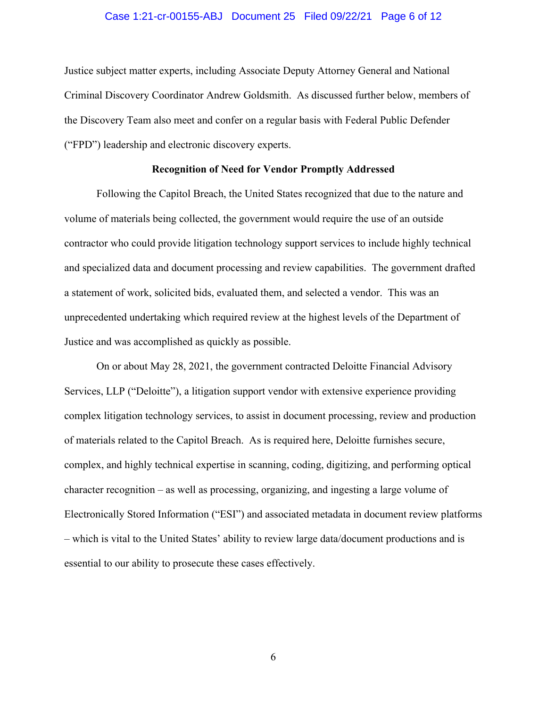## Case 1:21-cr-00155-ABJ Document 25 Filed 09/22/21 Page 6 of 12

Justice subject matter experts, including Associate Deputy Attorney General and National Criminal Discovery Coordinator Andrew Goldsmith. As discussed further below, members of the Discovery Team also meet and confer on a regular basis with Federal Public Defender ("FPD") leadership and electronic discovery experts.

#### **Recognition of Need for Vendor Promptly Addressed**

Following the Capitol Breach, the United States recognized that due to the nature and volume of materials being collected, the government would require the use of an outside contractor who could provide litigation technology support services to include highly technical and specialized data and document processing and review capabilities. The government drafted a statement of work, solicited bids, evaluated them, and selected a vendor. This was an unprecedented undertaking which required review at the highest levels of the Department of Justice and was accomplished as quickly as possible.

On or about May 28, 2021, the government contracted Deloitte Financial Advisory Services, LLP ("Deloitte"), a litigation support vendor with extensive experience providing complex litigation technology services, to assist in document processing, review and production of materials related to the Capitol Breach. As is required here, Deloitte furnishes secure, complex, and highly technical expertise in scanning, coding, digitizing, and performing optical character recognition – as well as processing, organizing, and ingesting a large volume of Electronically Stored Information ("ESI") and associated metadata in document review platforms – which is vital to the United States' ability to review large data/document productions and is essential to our ability to prosecute these cases effectively.

6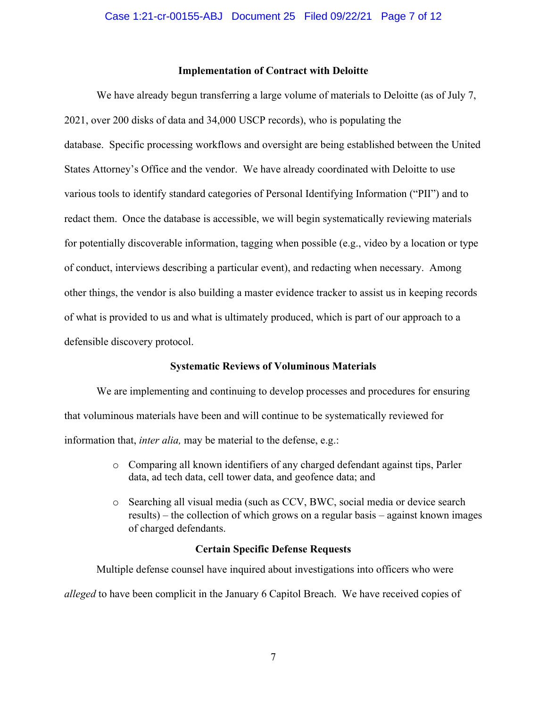## **Implementation of Contract with Deloitte**

We have already begun transferring a large volume of materials to Deloitte (as of July 7, 2021, over 200 disks of data and 34,000 USCP records), who is populating the database. Specific processing workflows and oversight are being established between the United States Attorney's Office and the vendor. We have already coordinated with Deloitte to use various tools to identify standard categories of Personal Identifying Information ("PII") and to redact them. Once the database is accessible, we will begin systematically reviewing materials for potentially discoverable information, tagging when possible (e.g., video by a location or type of conduct, interviews describing a particular event), and redacting when necessary. Among other things, the vendor is also building a master evidence tracker to assist us in keeping records of what is provided to us and what is ultimately produced, which is part of our approach to a defensible discovery protocol.

#### **Systematic Reviews of Voluminous Materials**

We are implementing and continuing to develop processes and procedures for ensuring that voluminous materials have been and will continue to be systematically reviewed for information that, *inter alia,* may be material to the defense, e.g.:

- o Comparing all known identifiers of any charged defendant against tips, Parler data, ad tech data, cell tower data, and geofence data; and
- o Searching all visual media (such as CCV, BWC, social media or device search results) – the collection of which grows on a regular basis – against known images of charged defendants.

#### **Certain Specific Defense Requests**

Multiple defense counsel have inquired about investigations into officers who were *alleged* to have been complicit in the January 6 Capitol Breach. We have received copies of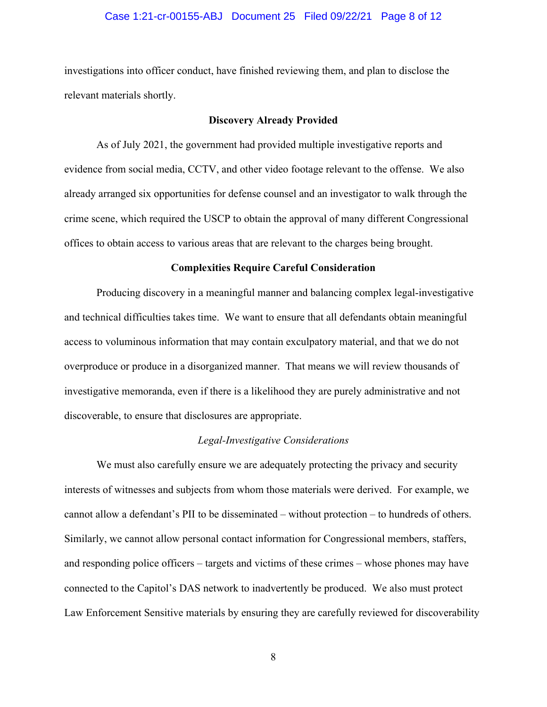## Case 1:21-cr-00155-ABJ Document 25 Filed 09/22/21 Page 8 of 12

investigations into officer conduct, have finished reviewing them, and plan to disclose the relevant materials shortly.

#### **Discovery Already Provided**

As of July 2021, the government had provided multiple investigative reports and evidence from social media, CCTV, and other video footage relevant to the offense. We also already arranged six opportunities for defense counsel and an investigator to walk through the crime scene, which required the USCP to obtain the approval of many different Congressional offices to obtain access to various areas that are relevant to the charges being brought.

#### **Complexities Require Careful Consideration**

Producing discovery in a meaningful manner and balancing complex legal-investigative and technical difficulties takes time. We want to ensure that all defendants obtain meaningful access to voluminous information that may contain exculpatory material, and that we do not overproduce or produce in a disorganized manner. That means we will review thousands of investigative memoranda, even if there is a likelihood they are purely administrative and not discoverable, to ensure that disclosures are appropriate.

## *Legal-Investigative Considerations*

We must also carefully ensure we are adequately protecting the privacy and security interests of witnesses and subjects from whom those materials were derived. For example, we cannot allow a defendant's PII to be disseminated – without protection – to hundreds of others. Similarly, we cannot allow personal contact information for Congressional members, staffers, and responding police officers – targets and victims of these crimes – whose phones may have connected to the Capitol's DAS network to inadvertently be produced. We also must protect Law Enforcement Sensitive materials by ensuring they are carefully reviewed for discoverability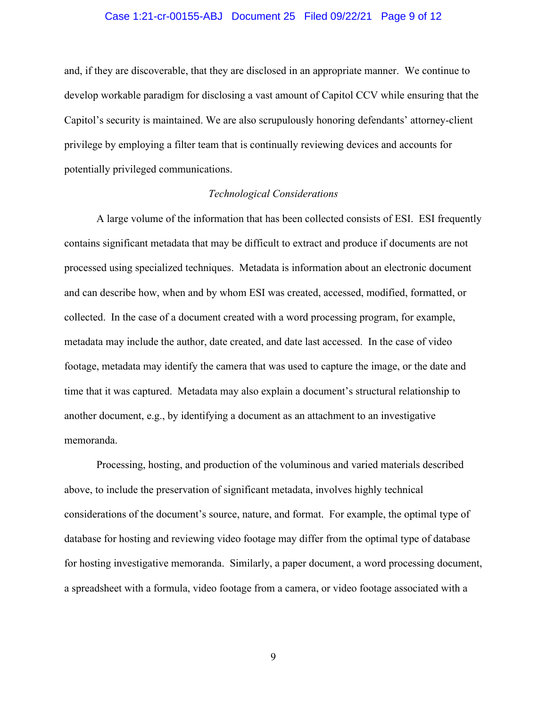## Case 1:21-cr-00155-ABJ Document 25 Filed 09/22/21 Page 9 of 12

and, if they are discoverable, that they are disclosed in an appropriate manner. We continue to develop workable paradigm for disclosing a vast amount of Capitol CCV while ensuring that the Capitol's security is maintained. We are also scrupulously honoring defendants' attorney-client privilege by employing a filter team that is continually reviewing devices and accounts for potentially privileged communications.

## *Technological Considerations*

A large volume of the information that has been collected consists of ESI. ESI frequently contains significant metadata that may be difficult to extract and produce if documents are not processed using specialized techniques. Metadata is information about an electronic document and can describe how, when and by whom ESI was created, accessed, modified, formatted, or collected. In the case of a document created with a word processing program, for example, metadata may include the author, date created, and date last accessed. In the case of video footage, metadata may identify the camera that was used to capture the image, or the date and time that it was captured. Metadata may also explain a document's structural relationship to another document, e.g., by identifying a document as an attachment to an investigative memoranda.

Processing, hosting, and production of the voluminous and varied materials described above, to include the preservation of significant metadata, involves highly technical considerations of the document's source, nature, and format. For example, the optimal type of database for hosting and reviewing video footage may differ from the optimal type of database for hosting investigative memoranda. Similarly, a paper document, a word processing document, a spreadsheet with a formula, video footage from a camera, or video footage associated with a

9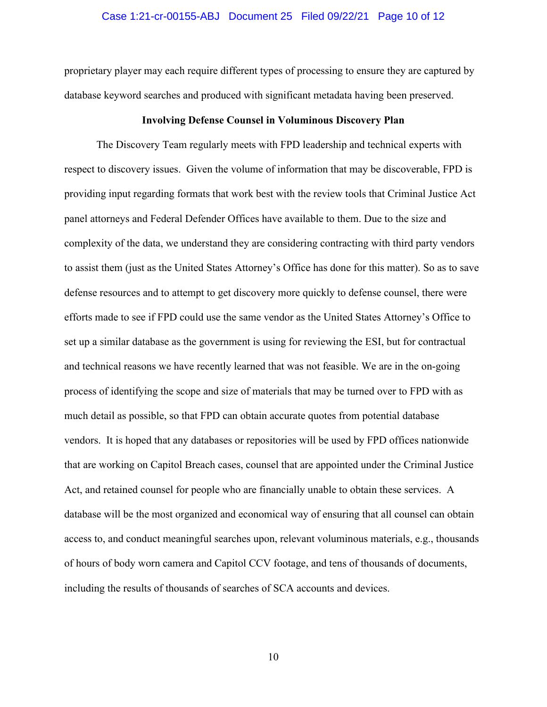## Case 1:21-cr-00155-ABJ Document 25 Filed 09/22/21 Page 10 of 12

proprietary player may each require different types of processing to ensure they are captured by database keyword searches and produced with significant metadata having been preserved.

#### **Involving Defense Counsel in Voluminous Discovery Plan**

The Discovery Team regularly meets with FPD leadership and technical experts with respect to discovery issues. Given the volume of information that may be discoverable, FPD is providing input regarding formats that work best with the review tools that Criminal Justice Act panel attorneys and Federal Defender Offices have available to them. Due to the size and complexity of the data, we understand they are considering contracting with third party vendors to assist them (just as the United States Attorney's Office has done for this matter). So as to save defense resources and to attempt to get discovery more quickly to defense counsel, there were efforts made to see if FPD could use the same vendor as the United States Attorney's Office to set up a similar database as the government is using for reviewing the ESI, but for contractual and technical reasons we have recently learned that was not feasible. We are in the on-going process of identifying the scope and size of materials that may be turned over to FPD with as much detail as possible, so that FPD can obtain accurate quotes from potential database vendors. It is hoped that any databases or repositories will be used by FPD offices nationwide that are working on Capitol Breach cases, counsel that are appointed under the Criminal Justice Act, and retained counsel for people who are financially unable to obtain these services. A database will be the most organized and economical way of ensuring that all counsel can obtain access to, and conduct meaningful searches upon, relevant voluminous materials, e.g., thousands of hours of body worn camera and Capitol CCV footage, and tens of thousands of documents, including the results of thousands of searches of SCA accounts and devices.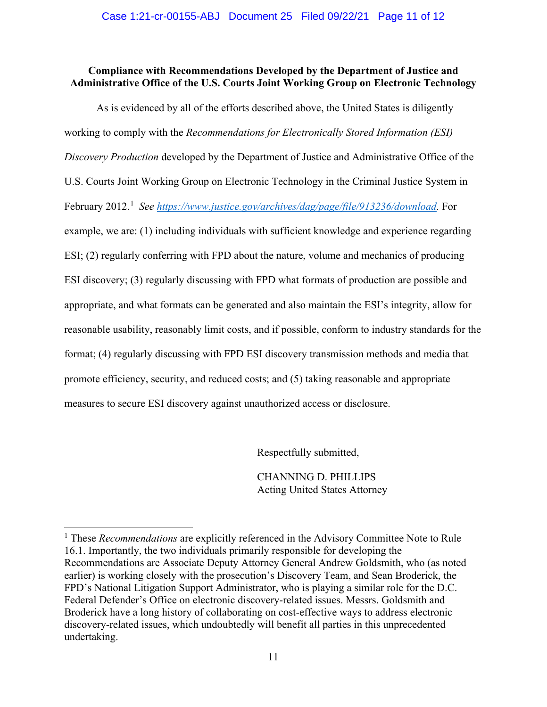# **Compliance with Recommendations Developed by the Department of Justice and Administrative Office of the U.S. Courts Joint Working Group on Electronic Technology**

As is evidenced by all of the efforts described above, the United States is diligently working to comply with the *Recommendations for Electronically Stored Information (ESI) Discovery Production* developed by the Department of Justice and Administrative Office of the U.S. Courts Joint Working Group on Electronic Technology in the Criminal Justice System in February 2012.<sup>1</sup> See https://www.justice.gov/archives/dag/page/file/913236/download. For example, we are: (1) including individuals with sufficient knowledge and experience regarding ESI; (2) regularly conferring with FPD about the nature, volume and mechanics of producing ESI discovery; (3) regularly discussing with FPD what formats of production are possible and appropriate, and what formats can be generated and also maintain the ESI's integrity, allow for reasonable usability, reasonably limit costs, and if possible, conform to industry standards for the format; (4) regularly discussing with FPD ESI discovery transmission methods and media that promote efficiency, security, and reduced costs; and (5) taking reasonable and appropriate measures to secure ESI discovery against unauthorized access or disclosure.

Respectfully submitted,

CHANNING D. PHILLIPS Acting United States Attorney

<sup>&</sup>lt;sup>1</sup> These *Recommendations* are explicitly referenced in the Advisory Committee Note to Rule 16.1. Importantly, the two individuals primarily responsible for developing the Recommendations are Associate Deputy Attorney General Andrew Goldsmith, who (as noted earlier) is working closely with the prosecution's Discovery Team, and Sean Broderick, the FPD's National Litigation Support Administrator, who is playing a similar role for the D.C. Federal Defender's Office on electronic discovery-related issues. Messrs. Goldsmith and Broderick have a long history of collaborating on cost-effective ways to address electronic discovery-related issues, which undoubtedly will benefit all parties in this unprecedented undertaking.